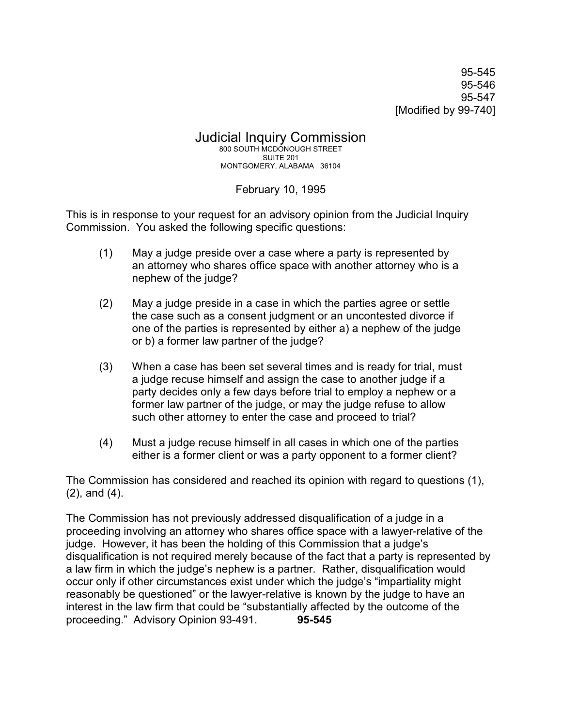95-545 95-546 95-547 [Modified by 99-740]

Judicial Inquiry Commission 800 SOUTH MCDONOUGH STREET SUITE 201 MONTGOMERY, ALABAMA 36104

February 10, 1995

This is in response to your request for an advisory opinion from the Judicial Inquiry Commission. You asked the following specific questions:

- (1) May a judge preside over a case where a party is represented by an attorney who shares office space with another attorney who is a nephew of the judge?
- (2) May a judge preside in a case in which the parties agree or settle the case such as a consent judgment or an uncontested divorce if one of the parties is represented by either a) a nephew of the judge or b) a former law partner of the judge?
- (3) When a case has been set several times and is ready for trial, must a judge recuse himself and assign the case to another judge if a party decides only a few days before trial to employ a nephew or a former law partner of the judge, or may the judge refuse to allow such other attorney to enter the case and proceed to trial?
- (4) Must a judge recuse himself in all cases in which one of the parties either is a former client or was a party opponent to a former client?

The Commission has considered and reached its opinion with regard to questions (1), (2), and (4).

The Commission has not previously addressed disqualification of a judge in a proceeding involving an attorney who shares office space with a lawyer-relative of the judge. However, it has been the holding of this Commission that a judge's disqualification is not required merely because of the fact that a party is represented by a law firm in which the judge's nephew is a partner. Rather, disqualification would occur only if other circumstances exist under which the judge's "impartiality might reasonably be questioned" or the lawyer-relative is known by the judge to have an interest in the law firm that could be "substantially affected by the outcome of the proceeding." Advisory Opinion 93-491. **95-545**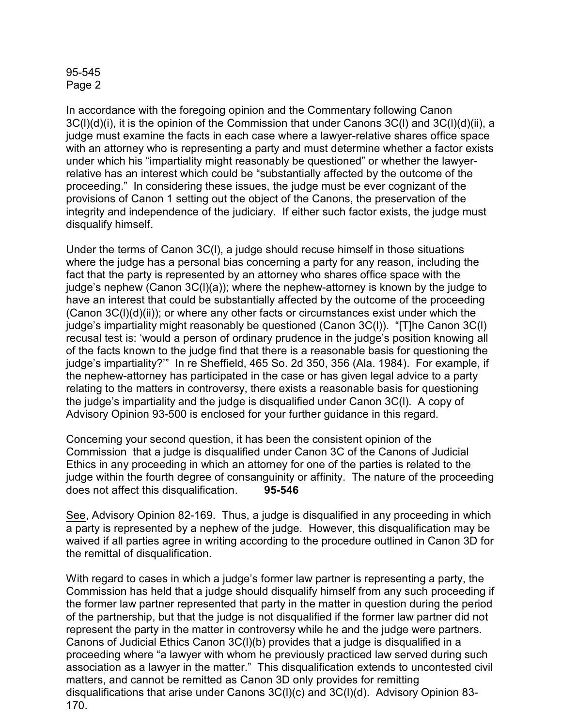## 95-545 Page 2

In accordance with the foregoing opinion and the Commentary following Canon 3C(l)(d)(i), it is the opinion of the Commission that under Canons 3C(l) and 3C(l)(d)(ii), a judge must examine the facts in each case where a lawyer-relative shares office space with an attorney who is representing a party and must determine whether a factor exists under which his "impartiality might reasonably be questioned" or whether the lawyerrelative has an interest which could be "substantially affected by the outcome of the proceeding." In considering these issues, the judge must be ever cognizant of the provisions of Canon 1 setting out the object of the Canons, the preservation of the integrity and independence of the judiciary. If either such factor exists, the judge must disqualify himself.

Under the terms of Canon 3C(l), a judge should recuse himself in those situations where the judge has a personal bias concerning a party for any reason, including the fact that the party is represented by an attorney who shares office space with the judge's nephew (Canon 3C(l)(a)); where the nephew-attorney is known by the judge to have an interest that could be substantially affected by the outcome of the proceeding  $(Canon 3C(I)(d)(ii))$ ; or where any other facts or circumstances exist under which the judge's impartiality might reasonably be questioned (Canon 3C(l)). "[T]he Canon 3C(l) recusal test is: 'would a person of ordinary prudence in the judge's position knowing all of the facts known to the judge find that there is a reasonable basis for questioning the judge's impartiality?'" In re Sheffield, 465 So. 2d 350, 356 (Ala. 1984). For example, if the nephew-attorney has participated in the case or has given legal advice to a party relating to the matters in controversy, there exists a reasonable basis for questioning the judge's impartiality and the judge is disqualified under Canon 3C(l). A copy of Advisory Opinion 93-500 is enclosed for your further guidance in this regard.

Concerning your second question, it has been the consistent opinion of the Commission that a judge is disqualified under Canon 3C of the Canons of Judicial Ethics in any proceeding in which an attorney for one of the parties is related to the judge within the fourth degree of consanguinity or affinity. The nature of the proceeding does not affect this disqualification. **95-546**

See, Advisory Opinion 82-169. Thus, a judge is disqualified in any proceeding in which a party is represented by a nephew of the judge. However, this disqualification may be waived if all parties agree in writing according to the procedure outlined in Canon 3D for the remittal of disqualification.

With regard to cases in which a judge's former law partner is representing a party, the Commission has held that a judge should disqualify himself from any such proceeding if the former law partner represented that party in the matter in question during the period of the partnership, but that the judge is not disqualified if the former law partner did not represent the party in the matter in controversy while he and the judge were partners. Canons of Judicial Ethics Canon 3C(l)(b) provides that a judge is disqualified in a proceeding where "a lawyer with whom he previously practiced law served during such association as a lawyer in the matter." This disqualification extends to uncontested civil matters, and cannot be remitted as Canon 3D only provides for remitting disqualifications that arise under Canons 3C(l)(c) and 3C(l)(d). Advisory Opinion 83- 170.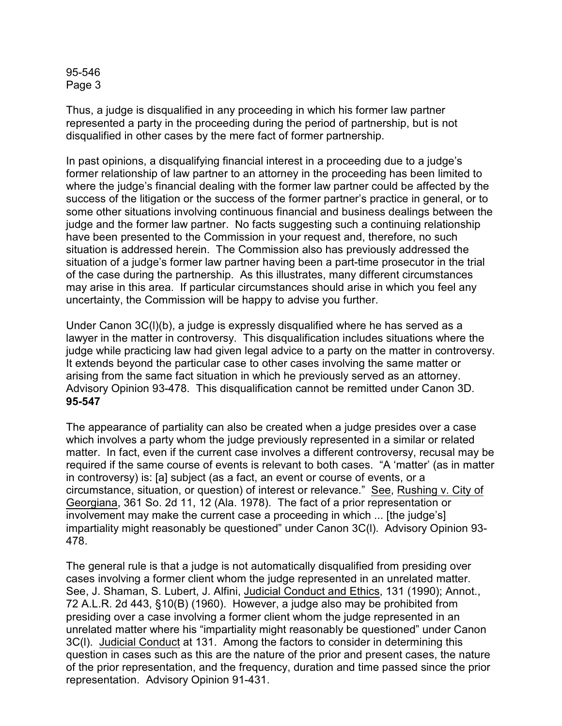95-546 Page 3

Thus, a judge is disqualified in any proceeding in which his former law partner represented a party in the proceeding during the period of partnership, but is not disqualified in other cases by the mere fact of former partnership.

In past opinions, a disqualifying financial interest in a proceeding due to a judge's former relationship of law partner to an attorney in the proceeding has been limited to where the judge's financial dealing with the former law partner could be affected by the success of the litigation or the success of the former partner's practice in general, or to some other situations involving continuous financial and business dealings between the judge and the former law partner. No facts suggesting such a continuing relationship have been presented to the Commission in your request and, therefore, no such situation is addressed herein. The Commission also has previously addressed the situation of a judge's former law partner having been a part-time prosecutor in the trial of the case during the partnership. As this illustrates, many different circumstances may arise in this area. If particular circumstances should arise in which you feel any uncertainty, the Commission will be happy to advise you further.

Under Canon 3C(l)(b), a judge is expressly disqualified where he has served as a lawyer in the matter in controversy. This disqualification includes situations where the judge while practicing law had given legal advice to a party on the matter in controversy. It extends beyond the particular case to other cases involving the same matter or arising from the same fact situation in which he previously served as an attorney. Advisory Opinion 93-478. This disqualification cannot be remitted under Canon 3D. **95-547**

The appearance of partiality can also be created when a judge presides over a case which involves a party whom the judge previously represented in a similar or related matter. In fact, even if the current case involves a different controversy, recusal may be required if the same course of events is relevant to both cases. "A 'matter' (as in matter in controversy) is: [a] subject (as a fact, an event or course of events, or a circumstance, situation, or question) of interest or relevance." See, Rushing v. City of Georgiana, 361 So. 2d 11, 12 (Ala. 1978). The fact of a prior representation or involvement may make the current case a proceeding in which ... [the judge's] impartiality might reasonably be questioned" under Canon 3C(l). Advisory Opinion 93- 478.

The general rule is that a judge is not automatically disqualified from presiding over cases involving a former client whom the judge represented in an unrelated matter. See, J. Shaman, S. Lubert, J. Alfini, Judicial Conduct and Ethics, 131 (1990); Annot., 72 A.L.R. 2d 443, §10(B) (1960). However, a judge also may be prohibited from presiding over a case involving a former client whom the judge represented in an unrelated matter where his "impartiality might reasonably be questioned" under Canon 3C(l). Judicial Conduct at 131. Among the factors to consider in determining this question in cases such as this are the nature of the prior and present cases, the nature of the prior representation, and the frequency, duration and time passed since the prior representation. Advisory Opinion 91-431.